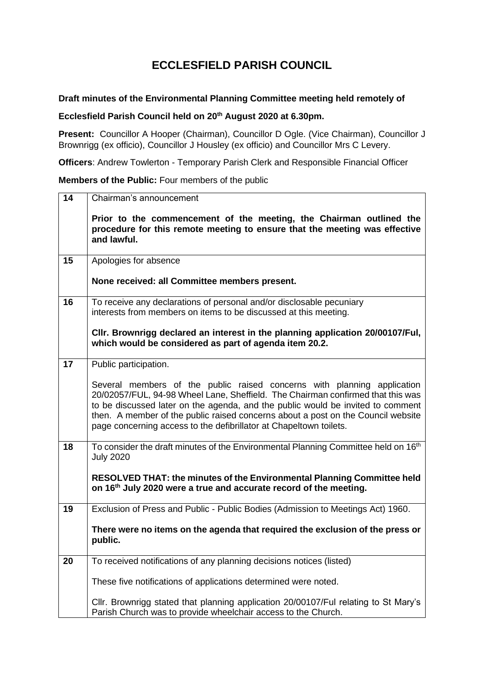## **ECCLESFIELD PARISH COUNCIL**

## **Draft minutes of the Environmental Planning Committee meeting held remotely of**

## **Ecclesfield Parish Council held on 20th August 2020 at 6.30pm.**

**Present:** Councillor A Hooper (Chairman), Councillor D Ogle. (Vice Chairman), Councillor J Brownrigg (ex officio), Councillor J Housley (ex officio) and Councillor Mrs C Levery.

**Officers**: Andrew Towlerton - Temporary Parish Clerk and Responsible Financial Officer

## **Members of the Public:** Four members of the public

| 14 | Chairman's announcement                                                                                                                                                                                                                                                                                                                                                                                 |
|----|---------------------------------------------------------------------------------------------------------------------------------------------------------------------------------------------------------------------------------------------------------------------------------------------------------------------------------------------------------------------------------------------------------|
|    | Prior to the commencement of the meeting, the Chairman outlined the<br>procedure for this remote meeting to ensure that the meeting was effective<br>and lawful.                                                                                                                                                                                                                                        |
| 15 | Apologies for absence                                                                                                                                                                                                                                                                                                                                                                                   |
|    | None received: all Committee members present.                                                                                                                                                                                                                                                                                                                                                           |
| 16 | To receive any declarations of personal and/or disclosable pecuniary<br>interests from members on items to be discussed at this meeting.                                                                                                                                                                                                                                                                |
|    | CIIr. Brownrigg declared an interest in the planning application 20/00107/Ful,<br>which would be considered as part of agenda item 20.2.                                                                                                                                                                                                                                                                |
| 17 | Public participation.                                                                                                                                                                                                                                                                                                                                                                                   |
|    | Several members of the public raised concerns with planning application<br>20/02057/FUL, 94-98 Wheel Lane, Sheffield. The Chairman confirmed that this was<br>to be discussed later on the agenda, and the public would be invited to comment<br>then. A member of the public raised concerns about a post on the Council website<br>page concerning access to the defibrillator at Chapeltown toilets. |
| 18 | To consider the draft minutes of the Environmental Planning Committee held on 16th<br><b>July 2020</b>                                                                                                                                                                                                                                                                                                  |
|    | RESOLVED THAT: the minutes of the Environmental Planning Committee held<br>on 16 <sup>th</sup> July 2020 were a true and accurate record of the meeting.                                                                                                                                                                                                                                                |
| 19 | Exclusion of Press and Public - Public Bodies (Admission to Meetings Act) 1960.                                                                                                                                                                                                                                                                                                                         |
|    | There were no items on the agenda that required the exclusion of the press or<br>public.                                                                                                                                                                                                                                                                                                                |
| 20 | To received notifications of any planning decisions notices (listed)                                                                                                                                                                                                                                                                                                                                    |
|    | These five notifications of applications determined were noted.                                                                                                                                                                                                                                                                                                                                         |
|    | Cllr. Brownrigg stated that planning application 20/00107/Ful relating to St Mary's<br>Parish Church was to provide wheelchair access to the Church.                                                                                                                                                                                                                                                    |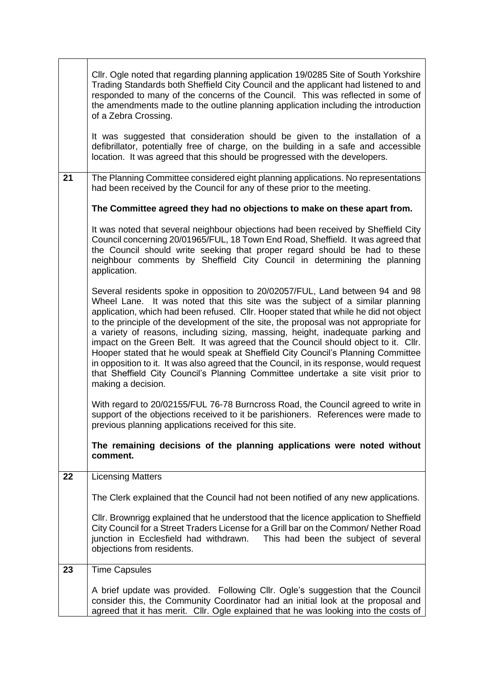|    | CIIr. Ogle noted that regarding planning application 19/0285 Site of South Yorkshire<br>Trading Standards both Sheffield City Council and the applicant had listened to and<br>responded to many of the concerns of the Council. This was reflected in some of<br>the amendments made to the outline planning application including the introduction<br>of a Zebra Crossing.<br>It was suggested that consideration should be given to the installation of a<br>defibrillator, potentially free of charge, on the building in a safe and accessible<br>location. It was agreed that this should be progressed with the developers.                                                                                                                                                                                   |
|----|----------------------------------------------------------------------------------------------------------------------------------------------------------------------------------------------------------------------------------------------------------------------------------------------------------------------------------------------------------------------------------------------------------------------------------------------------------------------------------------------------------------------------------------------------------------------------------------------------------------------------------------------------------------------------------------------------------------------------------------------------------------------------------------------------------------------|
| 21 | The Planning Committee considered eight planning applications. No representations<br>had been received by the Council for any of these prior to the meeting.                                                                                                                                                                                                                                                                                                                                                                                                                                                                                                                                                                                                                                                         |
|    | The Committee agreed they had no objections to make on these apart from.                                                                                                                                                                                                                                                                                                                                                                                                                                                                                                                                                                                                                                                                                                                                             |
|    | It was noted that several neighbour objections had been received by Sheffield City<br>Council concerning 20/01965/FUL, 18 Town End Road, Sheffield. It was agreed that<br>the Council should write seeking that proper regard should be had to these<br>neighbour comments by Sheffield City Council in determining the planning<br>application.                                                                                                                                                                                                                                                                                                                                                                                                                                                                     |
|    | Several residents spoke in opposition to 20/02057/FUL, Land between 94 and 98<br>Wheel Lane. It was noted that this site was the subject of a similar planning<br>application, which had been refused. Cllr. Hooper stated that while he did not object<br>to the principle of the development of the site, the proposal was not appropriate for<br>a variety of reasons, including sizing, massing, height, inadequate parking and<br>impact on the Green Belt. It was agreed that the Council should object to it. Cllr.<br>Hooper stated that he would speak at Sheffield City Council's Planning Committee<br>in opposition to it. It was also agreed that the Council, in its response, would request<br>that Sheffield City Council's Planning Committee undertake a site visit prior to<br>making a decision. |
|    | With regard to 20/02155/FUL 76-78 Burncross Road, the Council agreed to write in<br>support of the objections received to it be parishioners. References were made to<br>previous planning applications received for this site.                                                                                                                                                                                                                                                                                                                                                                                                                                                                                                                                                                                      |
|    | The remaining decisions of the planning applications were noted without<br>comment.                                                                                                                                                                                                                                                                                                                                                                                                                                                                                                                                                                                                                                                                                                                                  |
| 22 | <b>Licensing Matters</b>                                                                                                                                                                                                                                                                                                                                                                                                                                                                                                                                                                                                                                                                                                                                                                                             |
|    | The Clerk explained that the Council had not been notified of any new applications.                                                                                                                                                                                                                                                                                                                                                                                                                                                                                                                                                                                                                                                                                                                                  |
|    | CIIr. Brownrigg explained that he understood that the licence application to Sheffield<br>City Council for a Street Traders License for a Grill bar on the Common/ Nether Road<br>junction in Ecclesfield had withdrawn.<br>This had been the subject of several<br>objections from residents.                                                                                                                                                                                                                                                                                                                                                                                                                                                                                                                       |
| 23 | <b>Time Capsules</b>                                                                                                                                                                                                                                                                                                                                                                                                                                                                                                                                                                                                                                                                                                                                                                                                 |
|    | A brief update was provided. Following Cllr. Ogle's suggestion that the Council<br>consider this, the Community Coordinator had an initial look at the proposal and<br>agreed that it has merit. Cllr. Ogle explained that he was looking into the costs of                                                                                                                                                                                                                                                                                                                                                                                                                                                                                                                                                          |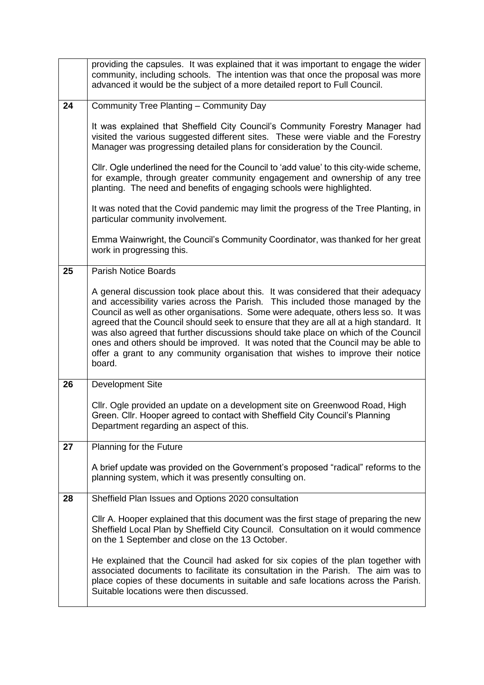|    | providing the capsules. It was explained that it was important to engage the wider<br>community, including schools. The intention was that once the proposal was more<br>advanced it would be the subject of a more detailed report to Full Council.                                                                                                                                                                                                                                                                                                                                                                       |
|----|----------------------------------------------------------------------------------------------------------------------------------------------------------------------------------------------------------------------------------------------------------------------------------------------------------------------------------------------------------------------------------------------------------------------------------------------------------------------------------------------------------------------------------------------------------------------------------------------------------------------------|
| 24 | Community Tree Planting - Community Day                                                                                                                                                                                                                                                                                                                                                                                                                                                                                                                                                                                    |
|    | It was explained that Sheffield City Council's Community Forestry Manager had<br>visited the various suggested different sites. These were viable and the Forestry<br>Manager was progressing detailed plans for consideration by the Council.                                                                                                                                                                                                                                                                                                                                                                             |
|    | CIIr. Ogle underlined the need for the Council to 'add value' to this city-wide scheme,<br>for example, through greater community engagement and ownership of any tree<br>planting. The need and benefits of engaging schools were highlighted.                                                                                                                                                                                                                                                                                                                                                                            |
|    | It was noted that the Covid pandemic may limit the progress of the Tree Planting, in<br>particular community involvement.                                                                                                                                                                                                                                                                                                                                                                                                                                                                                                  |
|    | Emma Wainwright, the Council's Community Coordinator, was thanked for her great<br>work in progressing this.                                                                                                                                                                                                                                                                                                                                                                                                                                                                                                               |
| 25 | <b>Parish Notice Boards</b>                                                                                                                                                                                                                                                                                                                                                                                                                                                                                                                                                                                                |
|    | A general discussion took place about this. It was considered that their adequacy<br>and accessibility varies across the Parish. This included those managed by the<br>Council as well as other organisations. Some were adequate, others less so. It was<br>agreed that the Council should seek to ensure that they are all at a high standard. It<br>was also agreed that further discussions should take place on which of the Council<br>ones and others should be improved. It was noted that the Council may be able to<br>offer a grant to any community organisation that wishes to improve their notice<br>board. |
| 26 | Development Site                                                                                                                                                                                                                                                                                                                                                                                                                                                                                                                                                                                                           |
|    | Cllr. Ogle provided an update on a development site on Greenwood Road, High<br>Green. Cllr. Hooper agreed to contact with Sheffield City Council's Planning<br>Department regarding an aspect of this.                                                                                                                                                                                                                                                                                                                                                                                                                     |
| 27 | Planning for the Future                                                                                                                                                                                                                                                                                                                                                                                                                                                                                                                                                                                                    |
|    | A brief update was provided on the Government's proposed "radical" reforms to the<br>planning system, which it was presently consulting on.                                                                                                                                                                                                                                                                                                                                                                                                                                                                                |
| 28 | Sheffield Plan Issues and Options 2020 consultation                                                                                                                                                                                                                                                                                                                                                                                                                                                                                                                                                                        |
|    | CIIr A. Hooper explained that this document was the first stage of preparing the new<br>Sheffield Local Plan by Sheffield City Council. Consultation on it would commence<br>on the 1 September and close on the 13 October.                                                                                                                                                                                                                                                                                                                                                                                               |
|    | He explained that the Council had asked for six copies of the plan together with<br>associated documents to facilitate its consultation in the Parish. The aim was to<br>place copies of these documents in suitable and safe locations across the Parish.<br>Suitable locations were then discussed.                                                                                                                                                                                                                                                                                                                      |